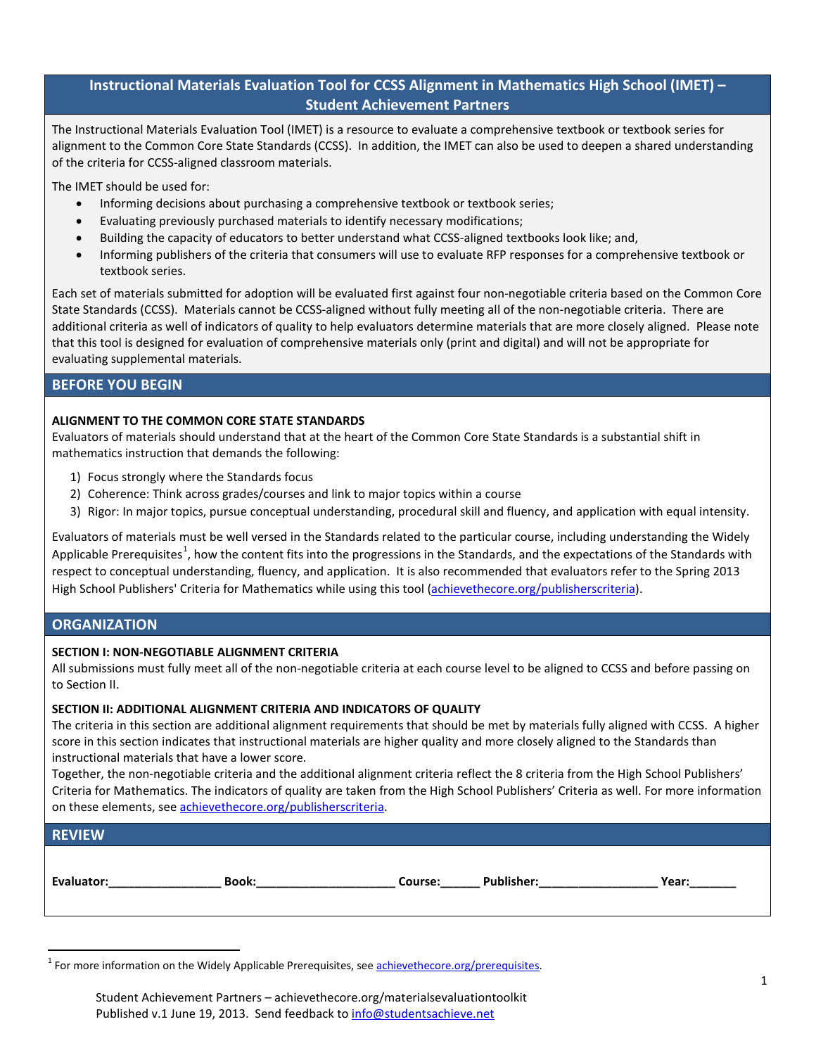# **Instructional Materials Evaluation Tool for CCSS Alignment in Mathematics High School (IMET) – Student Achievement Partners**

The Instructional Materials Evaluation Tool (IMET) is a resource to evaluate a comprehensive textbook or textbook series for alignment to the Common Core State Standards (CCSS). In addition, the IMET can also be used to deepen a shared understanding of the criteria for CCSS-aligned classroom materials.

The IMET should be used for:

- Informing decisions about purchasing a comprehensive textbook or textbook series;
- Evaluating previously purchased materials to identify necessary modifications;
- Building the capacity of educators to better understand what CCSS-aligned textbooks look like; and,
- Informing publishers of the criteria that consumers will use to evaluate RFP responses for a comprehensive textbook or textbook series.

Each set of materials submitted for adoption will be evaluated first against four non-negotiable criteria based on the Common Core State Standards (CCSS). Materials cannot be CCSS-aligned without fully meeting all of the non-negotiable criteria. There are additional criteria as well of indicators of quality to help evaluators determine materials that are more closely aligned. Please note that this tool is designed for evaluation of comprehensive materials only (print and digital) and will not be appropriate for evaluating supplemental materials.

## **BEFORE YOU BEGIN**

## **ALIGNMENT TO THE COMMON CORE STATE STANDARDS**

Evaluators of materials should understand that at the heart of the Common Core State Standards is a substantial shift in mathematics instruction that demands the following:

- 1) Focus strongly where the Standards focus
- 2) Coherence: Think across grades/courses and link to major topics within a course
- 3) Rigor: In major topics, pursue conceptual understanding, procedural skill and fluency, and application with equal intensity.

Evaluators of materials must be well versed in the Standards related to the particular course, including understanding the Widely Applicable Prerequisites<sup>[1](#page-0-0)</sup>, how the content fits into the progressions in the Standards, and the expectations of the Standards with respect to conceptual understanding, fluency, and application. It is also recommended that evaluators refer to the Spring 2013 High School Publishers' Criteria for Mathematics while using this tool [\(achievethecore.org/publisherscriteria\)](http://www.achievethecore.org/publisherscriteria).

## **ORGANIZATION**

#### **SECTION I: NON-NEGOTIABLE ALIGNMENT CRITERIA**

All submissions must fully meet all of the non-negotiable criteria at each course level to be aligned to CCSS and before passing on to Section II.

#### **SECTION II: ADDITIONAL ALIGNMENT CRITERIA AND INDICATORS OF QUALITY**

The criteria in this section are additional alignment requirements that should be met by materials fully aligned with CCSS. A higher score in this section indicates that instructional materials are higher quality and more closely aligned to the Standards than instructional materials that have a lower score.

Together, the non-negotiable criteria and the additional alignment criteria reflect the 8 criteria from the High School Publishers' Criteria for Mathematics. The indicators of quality are taken from the High School Publishers' Criteria as well. For more information on these elements, see achievethecore.org/publisherscriteria.

| <b>REVIEW</b> |  |  |  |
|---------------|--|--|--|
|               |  |  |  |

 $\overline{a}$ 

**Evaluator:\_\_\_\_\_\_\_\_\_\_\_\_\_\_\_\_\_ Book:\_\_\_\_\_\_\_\_\_\_\_\_\_\_\_\_\_\_\_\_\_ Course:\_\_\_\_\_\_ Publisher:\_\_\_\_\_\_\_\_\_\_\_\_\_\_\_\_\_\_ Year:\_\_\_\_\_\_\_**

<span id="page-0-0"></span><sup>&</sup>lt;sup>1</sup> For more information on the Widely Applicable Prerequisites, se[e achievethecore.org/prerequisites.](http://www.achievethecore.org/prerequisites)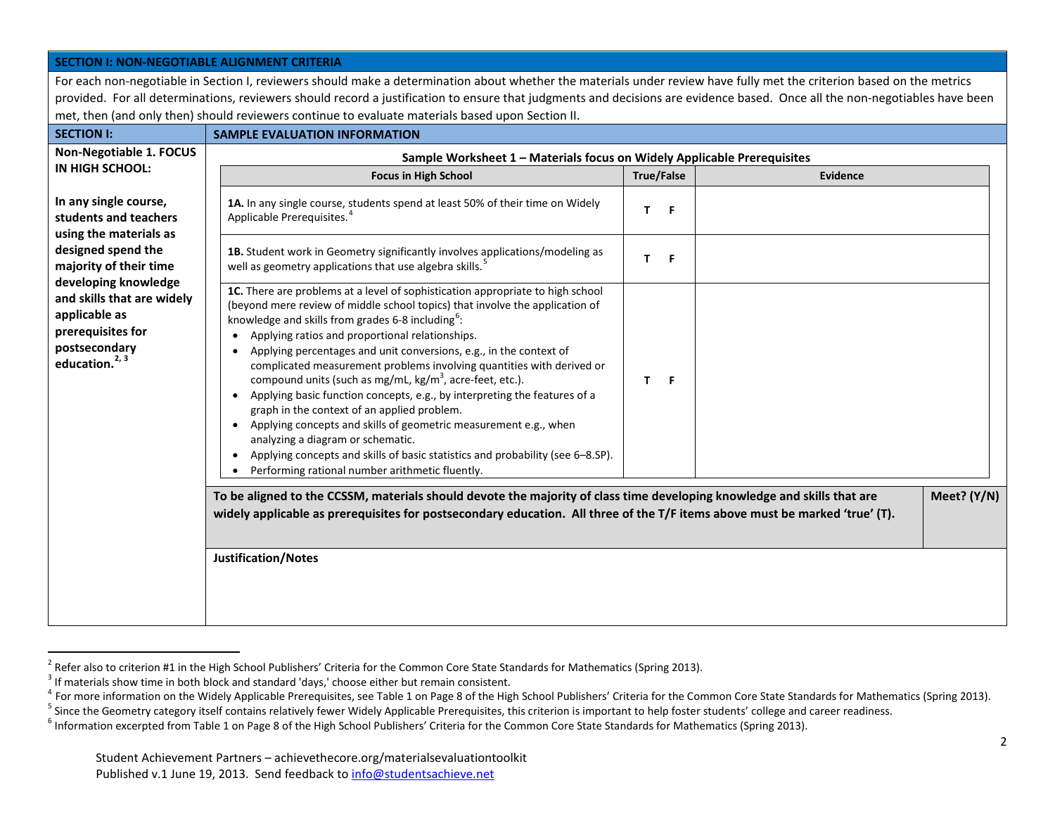<span id="page-1-4"></span><span id="page-1-3"></span><span id="page-1-2"></span><span id="page-1-1"></span><span id="page-1-0"></span>

| <b>SECTION I: NON-NEGOTIABLE ALIGNMENT CRITERIA</b>                                                                                                                    |                                                                                                                                                                                                                                                                                                                                                                                                                                                                                                                                                                                                                                                                                                                                                                                                                                                                                                                              |         |  |               |  |
|------------------------------------------------------------------------------------------------------------------------------------------------------------------------|------------------------------------------------------------------------------------------------------------------------------------------------------------------------------------------------------------------------------------------------------------------------------------------------------------------------------------------------------------------------------------------------------------------------------------------------------------------------------------------------------------------------------------------------------------------------------------------------------------------------------------------------------------------------------------------------------------------------------------------------------------------------------------------------------------------------------------------------------------------------------------------------------------------------------|---------|--|---------------|--|
| For each non-negotiable in Section I, reviewers should make a determination about whether the materials under review have fully met the criterion based on the metrics |                                                                                                                                                                                                                                                                                                                                                                                                                                                                                                                                                                                                                                                                                                                                                                                                                                                                                                                              |         |  |               |  |
|                                                                                                                                                                        | provided. For all determinations, reviewers should record a justification to ensure that judgments and decisions are evidence based. Once all the non-negotiables have been<br>met, then (and only then) should reviewers continue to evaluate materials based upon Section II.                                                                                                                                                                                                                                                                                                                                                                                                                                                                                                                                                                                                                                              |         |  |               |  |
| <b>SECTION I:</b>                                                                                                                                                      | <b>SAMPLE EVALUATION INFORMATION</b>                                                                                                                                                                                                                                                                                                                                                                                                                                                                                                                                                                                                                                                                                                                                                                                                                                                                                         |         |  |               |  |
| Non-Negotiable 1. FOCUS                                                                                                                                                |                                                                                                                                                                                                                                                                                                                                                                                                                                                                                                                                                                                                                                                                                                                                                                                                                                                                                                                              |         |  |               |  |
| IN HIGH SCHOOL:                                                                                                                                                        | Sample Worksheet 1 - Materials focus on Widely Applicable Prerequisites<br><b>True/False</b><br><b>Focus in High School</b><br>Evidence                                                                                                                                                                                                                                                                                                                                                                                                                                                                                                                                                                                                                                                                                                                                                                                      |         |  |               |  |
| In any single course,<br>students and teachers<br>using the materials as                                                                                               | 1A. In any single course, students spend at least 50% of their time on Widely<br>Applicable Prerequisites. <sup>4</sup>                                                                                                                                                                                                                                                                                                                                                                                                                                                                                                                                                                                                                                                                                                                                                                                                      | T.<br>F |  |               |  |
| designed spend the<br>majority of their time                                                                                                                           | 1B. Student work in Geometry significantly involves applications/modeling as<br>well as geometry applications that use algebra skills. <sup>5</sup>                                                                                                                                                                                                                                                                                                                                                                                                                                                                                                                                                                                                                                                                                                                                                                          | T.<br>F |  |               |  |
| developing knowledge<br>and skills that are widely<br>applicable as<br>prerequisites for<br>postsecondary<br>education. <sup>2, 3</sup>                                | 1C. There are problems at a level of sophistication appropriate to high school<br>(beyond mere review of middle school topics) that involve the application of<br>knowledge and skills from grades 6-8 including <sup>6</sup> :<br>Applying ratios and proportional relationships.<br>$\bullet$<br>Applying percentages and unit conversions, e.g., in the context of<br>$\bullet$<br>complicated measurement problems involving quantities with derived or<br>compound units (such as mg/mL, kg/m <sup>3</sup> , acre-feet, etc.).<br>Applying basic function concepts, e.g., by interpreting the features of a<br>graph in the context of an applied problem.<br>• Applying concepts and skills of geometric measurement e.g., when<br>analyzing a diagram or schematic.<br>Applying concepts and skills of basic statistics and probability (see 6-8.SP).<br>$\bullet$<br>Performing rational number arithmetic fluently. | F<br>T. |  |               |  |
|                                                                                                                                                                        | To be aligned to the CCSSM, materials should devote the majority of class time developing knowledge and skills that are<br>widely applicable as prerequisites for postsecondary education. All three of the T/F items above must be marked 'true' (T).                                                                                                                                                                                                                                                                                                                                                                                                                                                                                                                                                                                                                                                                       |         |  | Meet? $(Y/N)$ |  |
|                                                                                                                                                                        | Justification/Notes                                                                                                                                                                                                                                                                                                                                                                                                                                                                                                                                                                                                                                                                                                                                                                                                                                                                                                          |         |  |               |  |

 $^2$  Refer also to criterion #1 in the High School Publishers' Criteria for the Common Core State Standards for Mathematics (Spring 2013).<br><sup>3</sup> If materials show time in both block and standard 'days,' choose either but re

<sup>&</sup>lt;sup>4</sup> For more information on the Widely Applicable Prerequisites, see Table 1 on Page 8 of the High School Publishers' Criteria for the Common Core State Standards for Mathematics (Spring 2013).<br><sup>5</sup> Since the Geometry cate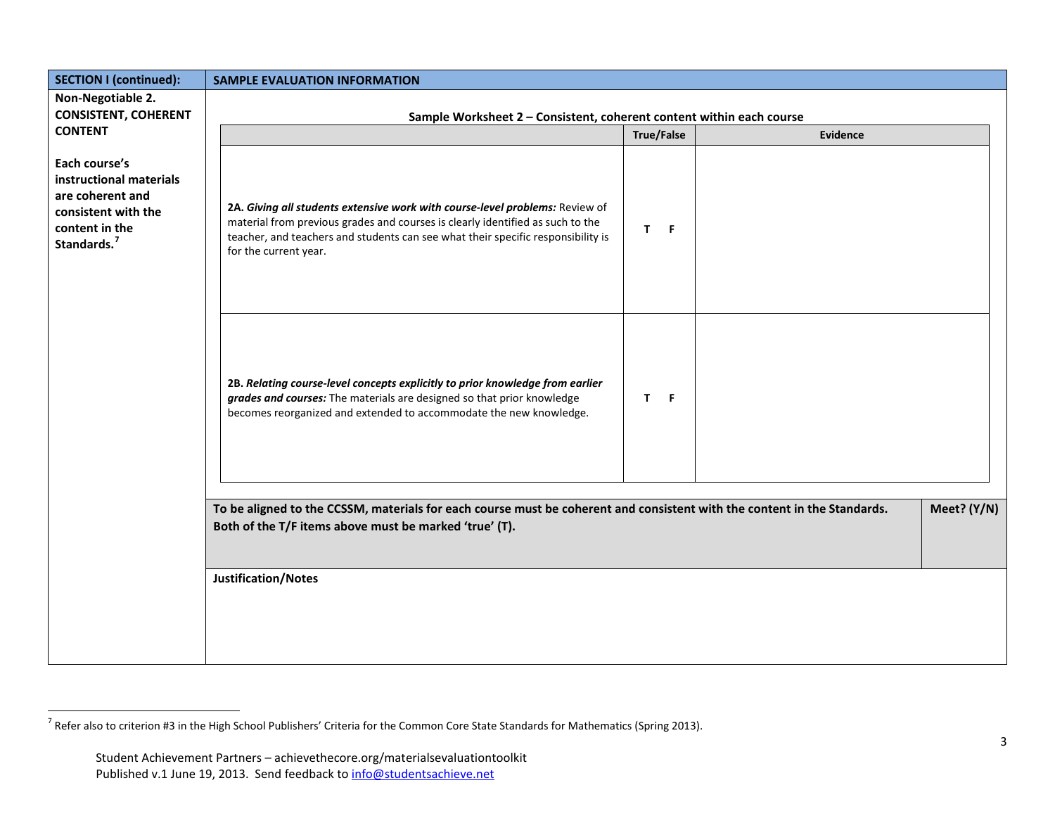<span id="page-2-0"></span>

| <b>SECTION I (continued):</b>                                                                                                    | <b>SAMPLE EVALUATION INFORMATION</b>                                                                                                                                                                                                                                        |     |                 |             |
|----------------------------------------------------------------------------------------------------------------------------------|-----------------------------------------------------------------------------------------------------------------------------------------------------------------------------------------------------------------------------------------------------------------------------|-----|-----------------|-------------|
| Non-Negotiable 2.                                                                                                                |                                                                                                                                                                                                                                                                             |     |                 |             |
| <b>CONSISTENT, COHERENT</b>                                                                                                      | Sample Worksheet 2 - Consistent, coherent content within each course                                                                                                                                                                                                        |     |                 |             |
| <b>CONTENT</b>                                                                                                                   |                                                                                                                                                                                                                                                                             |     | <b>Evidence</b> |             |
| Each course's<br>instructional materials<br>are coherent and<br>consistent with the<br>content in the<br>Standards. <sup>7</sup> | 2A. Giving all students extensive work with course-level problems: Review of<br>material from previous grades and courses is clearly identified as such to the<br>teacher, and teachers and students can see what their specific responsibility is<br>for the current year. | T F |                 |             |
|                                                                                                                                  | 2B. Relating course-level concepts explicitly to prior knowledge from earlier<br>grades and courses: The materials are designed so that prior knowledge<br>becomes reorganized and extended to accommodate the new knowledge.                                               | T F |                 |             |
|                                                                                                                                  |                                                                                                                                                                                                                                                                             |     |                 |             |
|                                                                                                                                  | To be aligned to the CCSSM, materials for each course must be coherent and consistent with the content in the Standards.                                                                                                                                                    |     |                 | Meet? (Y/N) |
|                                                                                                                                  | Both of the T/F items above must be marked 'true' (T).                                                                                                                                                                                                                      |     |                 |             |
|                                                                                                                                  |                                                                                                                                                                                                                                                                             |     |                 |             |
|                                                                                                                                  | Justification/Notes                                                                                                                                                                                                                                                         |     |                 |             |
|                                                                                                                                  |                                                                                                                                                                                                                                                                             |     |                 |             |
|                                                                                                                                  |                                                                                                                                                                                                                                                                             |     |                 |             |
|                                                                                                                                  |                                                                                                                                                                                                                                                                             |     |                 |             |
|                                                                                                                                  |                                                                                                                                                                                                                                                                             |     |                 |             |

 $^7$  Refer also to criterion #3 in the High School Publishers' Criteria for the Common Core State Standards for Mathematics (Spring 2013).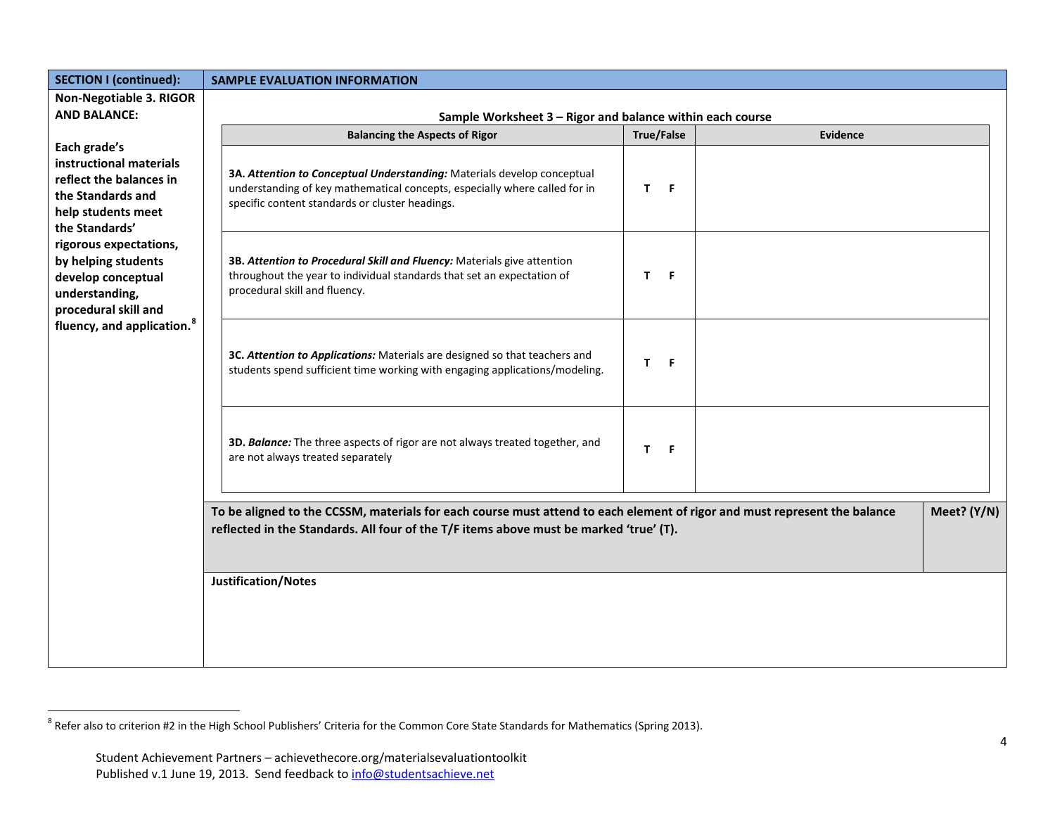<span id="page-3-0"></span>

| <b>SECTION I (continued):</b>                                                                                   | <b>SAMPLE EVALUATION INFORMATION</b>                                                                                                                                                                                |                               |  |  |  |
|-----------------------------------------------------------------------------------------------------------------|---------------------------------------------------------------------------------------------------------------------------------------------------------------------------------------------------------------------|-------------------------------|--|--|--|
| Non-Negotiable 3. RIGOR                                                                                         |                                                                                                                                                                                                                     |                               |  |  |  |
| <b>AND BALANCE:</b>                                                                                             | Sample Worksheet 3 - Rigor and balance within each course                                                                                                                                                           |                               |  |  |  |
| Each grade's                                                                                                    | <b>Balancing the Aspects of Rigor</b>                                                                                                                                                                               | <b>True/False</b><br>Evidence |  |  |  |
| instructional materials<br>reflect the balances in<br>the Standards and<br>help students meet<br>the Standards' | 3A. Attention to Conceptual Understanding: Materials develop conceptual<br>understanding of key mathematical concepts, especially where called for in<br>specific content standards or cluster headings.            | $\mathbf{T}$<br>- F           |  |  |  |
| rigorous expectations,<br>by helping students<br>develop conceptual<br>understanding,<br>procedural skill and   | 3B. Attention to Procedural Skill and Fluency: Materials give attention<br>throughout the year to individual standards that set an expectation of<br>procedural skill and fluency.                                  | T.<br>F.                      |  |  |  |
| fluency, and application. <sup>8</sup>                                                                          | 3C. Attention to Applications: Materials are designed so that teachers and<br>students spend sufficient time working with engaging applications/modeling.                                                           | T.<br>- F                     |  |  |  |
|                                                                                                                 | 3D. Balance: The three aspects of rigor are not always treated together, and<br>are not always treated separately                                                                                                   | T.<br>- F                     |  |  |  |
|                                                                                                                 | To be aligned to the CCSSM, materials for each course must attend to each element of rigor and must represent the balance<br>reflected in the Standards. All four of the T/F items above must be marked 'true' (T). | Meet? (Y/N)                   |  |  |  |
|                                                                                                                 | Justification/Notes                                                                                                                                                                                                 |                               |  |  |  |
|                                                                                                                 |                                                                                                                                                                                                                     |                               |  |  |  |

 $^8$  Refer also to criterion #2 in the High School Publishers' Criteria for the Common Core State Standards for Mathematics (Spring 2013).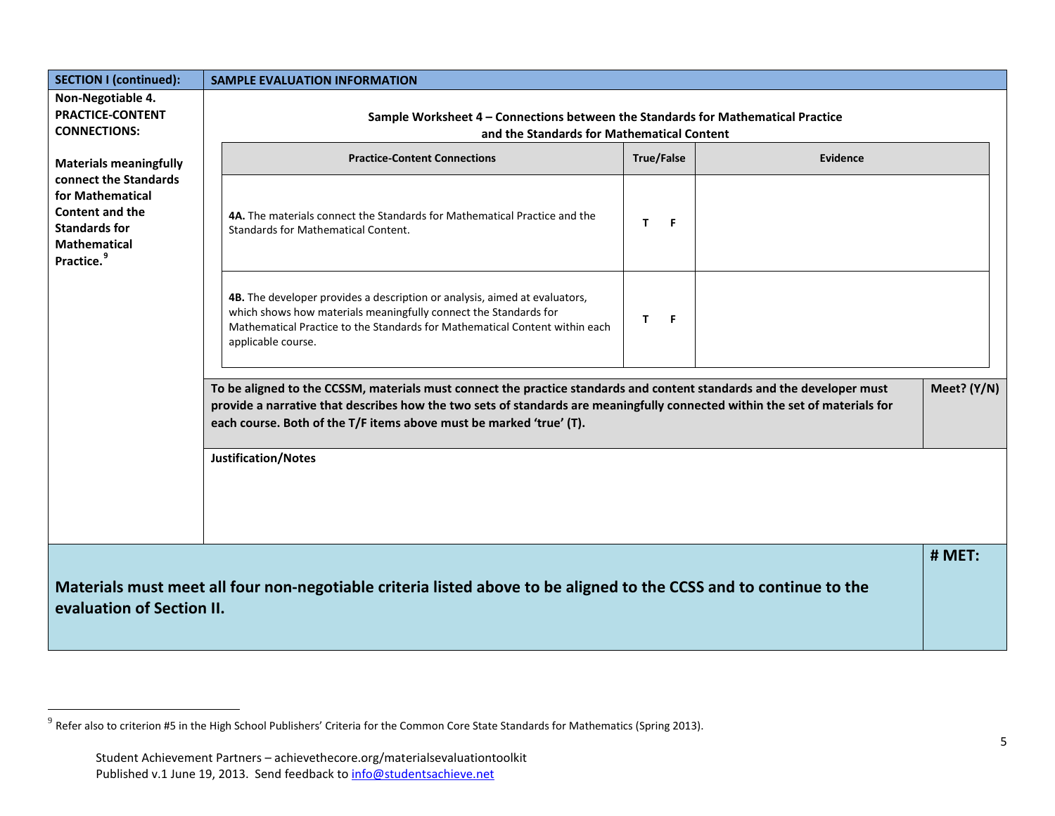<span id="page-4-0"></span>

| <b>SECTION I (continued):</b>                                                                                                         |                                                                                                                                | <b>SAMPLE EVALUATION INFORMATION</b>                                                                                                                                                                                                                                                                                         |                   |    |  |          |             |
|---------------------------------------------------------------------------------------------------------------------------------------|--------------------------------------------------------------------------------------------------------------------------------|------------------------------------------------------------------------------------------------------------------------------------------------------------------------------------------------------------------------------------------------------------------------------------------------------------------------------|-------------------|----|--|----------|-------------|
| Non-Negotiable 4.<br><b>PRACTICE-CONTENT</b><br><b>CONNECTIONS:</b>                                                                   | Sample Worksheet 4 - Connections between the Standards for Mathematical Practice<br>and the Standards for Mathematical Content |                                                                                                                                                                                                                                                                                                                              |                   |    |  |          |             |
| <b>Materials meaningfully</b>                                                                                                         |                                                                                                                                | <b>Practice-Content Connections</b>                                                                                                                                                                                                                                                                                          | <b>True/False</b> |    |  | Evidence |             |
| connect the Standards<br>for Mathematical<br><b>Content and the</b><br><b>Standards for</b><br>Mathematical<br>Practice. <sup>9</sup> |                                                                                                                                | 4A. The materials connect the Standards for Mathematical Practice and the<br>Standards for Mathematical Content.                                                                                                                                                                                                             | T.                | F  |  |          |             |
|                                                                                                                                       |                                                                                                                                | 4B. The developer provides a description or analysis, aimed at evaluators,<br>which shows how materials meaningfully connect the Standards for<br>Mathematical Practice to the Standards for Mathematical Content within each<br>applicable course.                                                                          | T.                | F. |  |          |             |
|                                                                                                                                       |                                                                                                                                | To be aligned to the CCSSM, materials must connect the practice standards and content standards and the developer must<br>provide a narrative that describes how the two sets of standards are meaningfully connected within the set of materials for<br>each course. Both of the T/F items above must be marked 'true' (T). |                   |    |  |          | Meet? (Y/N) |
|                                                                                                                                       |                                                                                                                                | Justification/Notes                                                                                                                                                                                                                                                                                                          |                   |    |  |          |             |
| evaluation of Section II.                                                                                                             |                                                                                                                                | Materials must meet all four non-negotiable criteria listed above to be aligned to the CCSS and to continue to the                                                                                                                                                                                                           |                   |    |  |          | # MET:      |

 $^9$  Refer also to criterion #5 in the High School Publishers' Criteria for the Common Core State Standards for Mathematics (Spring 2013).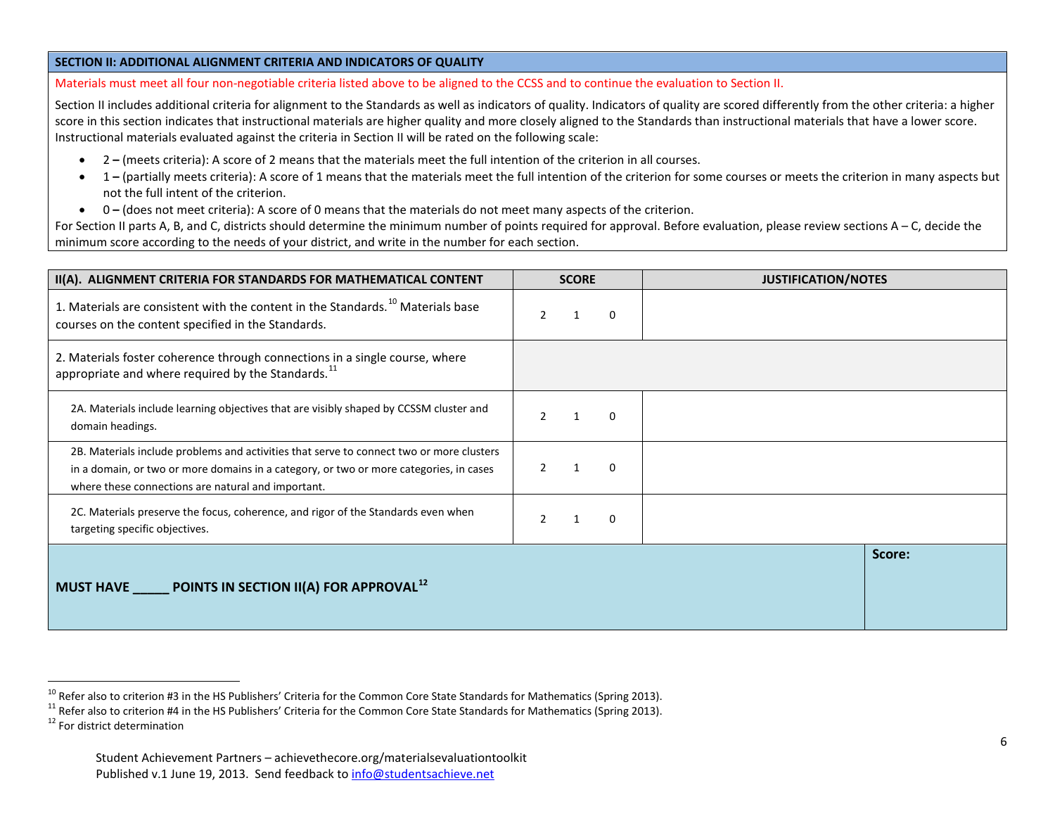#### <span id="page-5-2"></span><span id="page-5-1"></span><span id="page-5-0"></span>**SECTION II: ADDITIONAL ALIGNMENT CRITERIA AND INDICATORS OF QUALITY**

Materials must meet all four non-negotiable criteria listed above to be aligned to the CCSS and to continue the evaluation to Section II.

Section II includes additional criteria for alignment to the Standards as well as indicators of quality. Indicators of quality are scored differently from the other criteria: a higher score in this section indicates that instructional materials are higher quality and more closely aligned to the Standards than instructional materials that have a lower score. Instructional materials evaluated against the criteria in Section II will be rated on the following scale:

- 2 **–** (meets criteria): A score of 2 means that the materials meet the full intention of the criterion in all courses.
- 1 **–** (partially meets criteria): A score of 1 means that the materials meet the full intention of the criterion for some courses or meets the criterion in many aspects but not the full intent of the criterion.
- 0 **–** (does not meet criteria): A score of 0 means that the materials do not meet many aspects of the criterion.

For Section II parts A, B, and C, districts should determine the minimum number of points required for approval. Before evaluation, please review sections A – C, decide the minimum score according to the needs of your district, and write in the number for each section.

| II(A). ALIGNMENT CRITERIA FOR STANDARDS FOR MATHEMATICAL CONTENT                                                                                                                                                                         | <b>SCORE</b>              | <b>JUSTIFICATION/NOTES</b> |
|------------------------------------------------------------------------------------------------------------------------------------------------------------------------------------------------------------------------------------------|---------------------------|----------------------------|
| 1. Materials are consistent with the content in the Standards. <sup>10</sup> Materials base<br>courses on the content specified in the Standards.                                                                                        | $\mathcal{P}$<br>$\Omega$ |                            |
| 2. Materials foster coherence through connections in a single course, where<br>appropriate and where required by the Standards. <sup>11</sup>                                                                                            |                           |                            |
| 2A. Materials include learning objectives that are visibly shaped by CCSSM cluster and<br>domain headings.                                                                                                                               | $\Omega$                  |                            |
| 2B. Materials include problems and activities that serve to connect two or more clusters<br>in a domain, or two or more domains in a category, or two or more categories, in cases<br>where these connections are natural and important. | $\Omega$<br>-1            |                            |
| 2C. Materials preserve the focus, coherence, and rigor of the Standards even when<br>targeting specific objectives.                                                                                                                      | $\Omega$                  |                            |
| POINTS IN SECTION II(A) FOR APPROVAL <sup>12</sup><br><b>MUST HAVE</b>                                                                                                                                                                   |                           | Score:                     |
|                                                                                                                                                                                                                                          |                           |                            |

<sup>&</sup>lt;sup>10</sup> Refer also to criterion #3 in the HS Publishers' Criteria for the Common Core State Standards for Mathematics (Spring 2013).<br><sup>11</sup> Refer also to criterion #4 in the HS Publishers' Criteria for the Common Core State St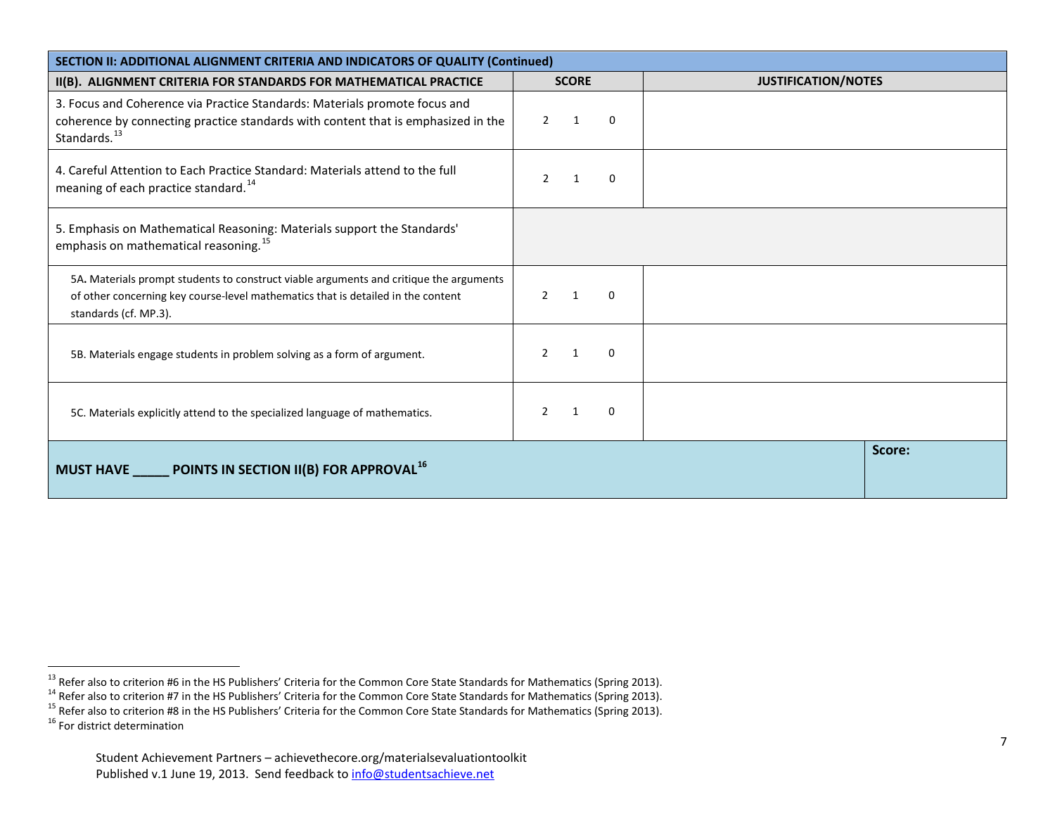<span id="page-6-3"></span><span id="page-6-2"></span><span id="page-6-1"></span><span id="page-6-0"></span>

| SECTION II: ADDITIONAL ALIGNMENT CRITERIA AND INDICATORS OF QUALITY (Continued)                                                                                                                     |                                           |                            |  |  |  |  |
|-----------------------------------------------------------------------------------------------------------------------------------------------------------------------------------------------------|-------------------------------------------|----------------------------|--|--|--|--|
| II(B). ALIGNMENT CRITERIA FOR STANDARDS FOR MATHEMATICAL PRACTICE                                                                                                                                   | <b>SCORE</b>                              | <b>JUSTIFICATION/NOTES</b> |  |  |  |  |
| 3. Focus and Coherence via Practice Standards: Materials promote focus and<br>coherence by connecting practice standards with content that is emphasized in the<br>Standards. <sup>13</sup>         | $\overline{2}$<br>1<br>0                  |                            |  |  |  |  |
| 4. Careful Attention to Each Practice Standard: Materials attend to the full<br>meaning of each practice standard. <sup>14</sup>                                                                    | $\mathcal{P}$<br>0                        |                            |  |  |  |  |
| 5. Emphasis on Mathematical Reasoning: Materials support the Standards'<br>emphasis on mathematical reasoning. <sup>15</sup>                                                                        |                                           |                            |  |  |  |  |
| 5A. Materials prompt students to construct viable arguments and critique the arguments<br>of other concerning key course-level mathematics that is detailed in the content<br>standards (cf. MP.3). | $\mathcal{P}$<br>$\Omega$<br>$\mathbf{1}$ |                            |  |  |  |  |
| 5B. Materials engage students in problem solving as a form of argument.                                                                                                                             | $\Omega$<br>$\mathcal{P}$<br>1            |                            |  |  |  |  |
| 5C. Materials explicitly attend to the specialized language of mathematics.                                                                                                                         | $\Omega$                                  |                            |  |  |  |  |
| Score:<br>POINTS IN SECTION II(B) FOR APPROVAL <sup>16</sup><br><b>MUST HAVE</b>                                                                                                                    |                                           |                            |  |  |  |  |

<sup>&</sup>lt;sup>13</sup> Refer also to criterion #6 in the HS Publishers' Criteria for the Common Core State Standards for Mathematics (Spring 2013).<br><sup>14</sup> Refer also to criterion #7 in the HS Publishers' Criteria for the Common Core State St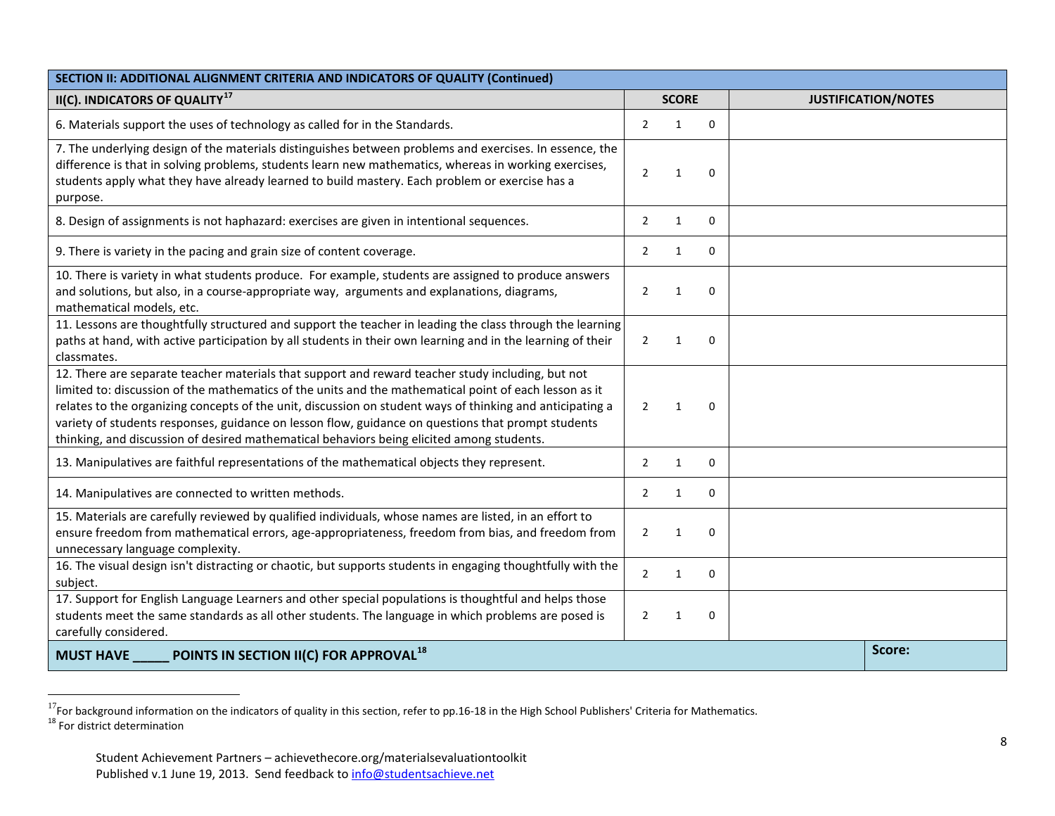<span id="page-7-1"></span><span id="page-7-0"></span>

| SECTION II: ADDITIONAL ALIGNMENT CRITERIA AND INDICATORS OF QUALITY (Continued)                                                                                                                                                                                                                                                                                                                                                                                                                                             |                |              |              |  |                            |  |
|-----------------------------------------------------------------------------------------------------------------------------------------------------------------------------------------------------------------------------------------------------------------------------------------------------------------------------------------------------------------------------------------------------------------------------------------------------------------------------------------------------------------------------|----------------|--------------|--------------|--|----------------------------|--|
| II(C). INDICATORS OF QUALITY <sup>17</sup>                                                                                                                                                                                                                                                                                                                                                                                                                                                                                  |                |              | <b>SCORE</b> |  | <b>JUSTIFICATION/NOTES</b> |  |
| 6. Materials support the uses of technology as called for in the Standards.                                                                                                                                                                                                                                                                                                                                                                                                                                                 |                |              | 0            |  |                            |  |
| 7. The underlying design of the materials distinguishes between problems and exercises. In essence, the<br>difference is that in solving problems, students learn new mathematics, whereas in working exercises,<br>students apply what they have already learned to build mastery. Each problem or exercise has a<br>purpose.                                                                                                                                                                                              | $\overline{2}$ | 1            | 0            |  |                            |  |
| 8. Design of assignments is not haphazard: exercises are given in intentional sequences.                                                                                                                                                                                                                                                                                                                                                                                                                                    | $\overline{2}$ | 1            | 0            |  |                            |  |
| 9. There is variety in the pacing and grain size of content coverage.                                                                                                                                                                                                                                                                                                                                                                                                                                                       | 2              | $\mathbf{1}$ | 0            |  |                            |  |
| 10. There is variety in what students produce. For example, students are assigned to produce answers<br>and solutions, but also, in a course-appropriate way, arguments and explanations, diagrams,<br>mathematical models, etc.                                                                                                                                                                                                                                                                                            | $\overline{2}$ | 1            | 0            |  |                            |  |
| 11. Lessons are thoughtfully structured and support the teacher in leading the class through the learning<br>paths at hand, with active participation by all students in their own learning and in the learning of their<br>classmates.                                                                                                                                                                                                                                                                                     | $\overline{2}$ | 1            | 0            |  |                            |  |
| 12. There are separate teacher materials that support and reward teacher study including, but not<br>limited to: discussion of the mathematics of the units and the mathematical point of each lesson as it<br>relates to the organizing concepts of the unit, discussion on student ways of thinking and anticipating a<br>variety of students responses, guidance on lesson flow, guidance on questions that prompt students<br>thinking, and discussion of desired mathematical behaviors being elicited among students. | $\overline{2}$ | 1            | 0            |  |                            |  |
| 13. Manipulatives are faithful representations of the mathematical objects they represent.                                                                                                                                                                                                                                                                                                                                                                                                                                  | $\overline{2}$ | 1            | 0            |  |                            |  |
| 14. Manipulatives are connected to written methods.                                                                                                                                                                                                                                                                                                                                                                                                                                                                         | 2              | $\mathbf{1}$ | 0            |  |                            |  |
| 15. Materials are carefully reviewed by qualified individuals, whose names are listed, in an effort to<br>ensure freedom from mathematical errors, age-appropriateness, freedom from bias, and freedom from<br>unnecessary language complexity.                                                                                                                                                                                                                                                                             | $\overline{2}$ | 1            | 0            |  |                            |  |
| 16. The visual design isn't distracting or chaotic, but supports students in engaging thoughtfully with the<br>subject.                                                                                                                                                                                                                                                                                                                                                                                                     |                |              | 0            |  |                            |  |
| 17. Support for English Language Learners and other special populations is thoughtful and helps those<br>students meet the same standards as all other students. The language in which problems are posed is<br>carefully considered.                                                                                                                                                                                                                                                                                       | 2              | 1            | 0            |  |                            |  |
| POINTS IN SECTION II(C) FOR APPROVAL <sup>18</sup><br><b>MUST HAVE</b>                                                                                                                                                                                                                                                                                                                                                                                                                                                      |                |              |              |  | Score:                     |  |

<sup>&</sup>lt;sup>17</sup>For background information on the indicators of quality in this section, refer to pp.16-18 in the High School Publishers' Criteria for Mathematics.<br><sup>18</sup> For district determination